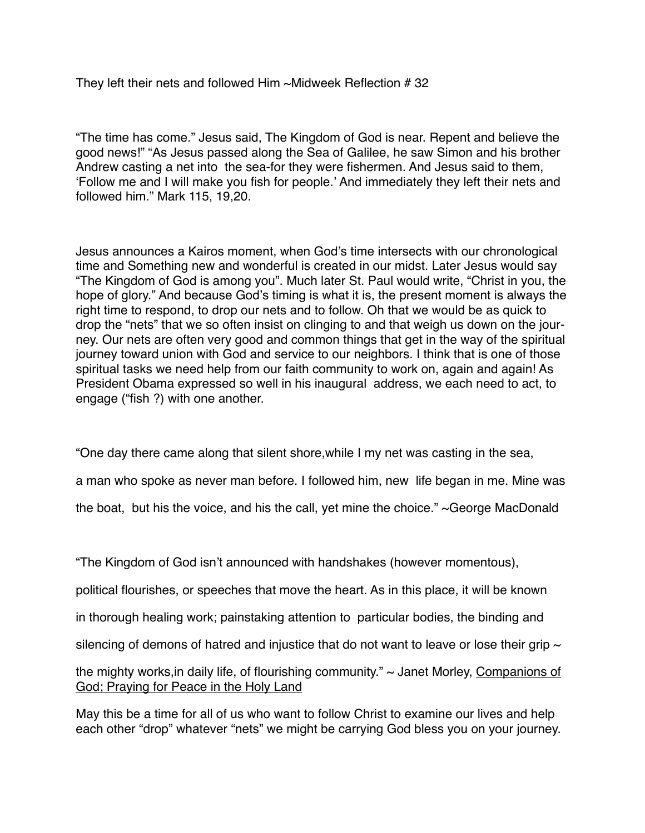They left their nets and followed Him ~Midweek Reflection # 32

"The time has come." Jesus said, The Kingdom of God is near. Repent and believe the good news!" "As Jesus passed along the Sea of Galilee, he saw Simon and his brother Andrew casting a net into the sea-for they were fishermen. And Jesus said to them, 'Follow me and I will make you fish for people.' And immediately they left their nets and followed him." Mark 115, 19,20.

Jesus announces a Kairos moment, when God's time intersects with our chronological time and Something new and wonderful is created in our midst. Later Jesus would say "The Kingdom of God is among you". Much later St. Paul would write, "Christ in you, the hope of glory." And because God's timing is what it is, the present moment is always the right time to respond, to drop our nets and to follow. Oh that we would be as quick to drop the "nets" that we so often insist on clinging to and that weigh us down on the journey. Our nets are often very good and common things that get in the way of the spiritual journey toward union with God and service to our neighbors. I think that is one of those spiritual tasks we need help from our faith community to work on, again and again! As President Obama expressed so well in his inaugural address, we each need to act, to engage ("fish ?) with one another.

"One day there came along that silent shore,while I my net was casting in the sea,

a man who spoke as never man before. I followed him, new life began in me. Mine was

the boat, but his the voice, and his the call, yet mine the choice." ~George MacDonald

"The Kingdom of God isn't announced with handshakes (however momentous), political flourishes, or speeches that move the heart. As in this place, it will be known in thorough healing work; painstaking attention to particular bodies, the binding and silencing of demons of hatred and injustice that do not want to leave or lose their grip  $\sim$ the mighty works,in daily life, of flourishing community." ~ Janet Morley, Companions of God; Praying for Peace in the Holy Land

May this be a time for all of us who want to follow Christ to examine our lives and help each other "drop" whatever "nets" we might be carrying God bless you on your journey.